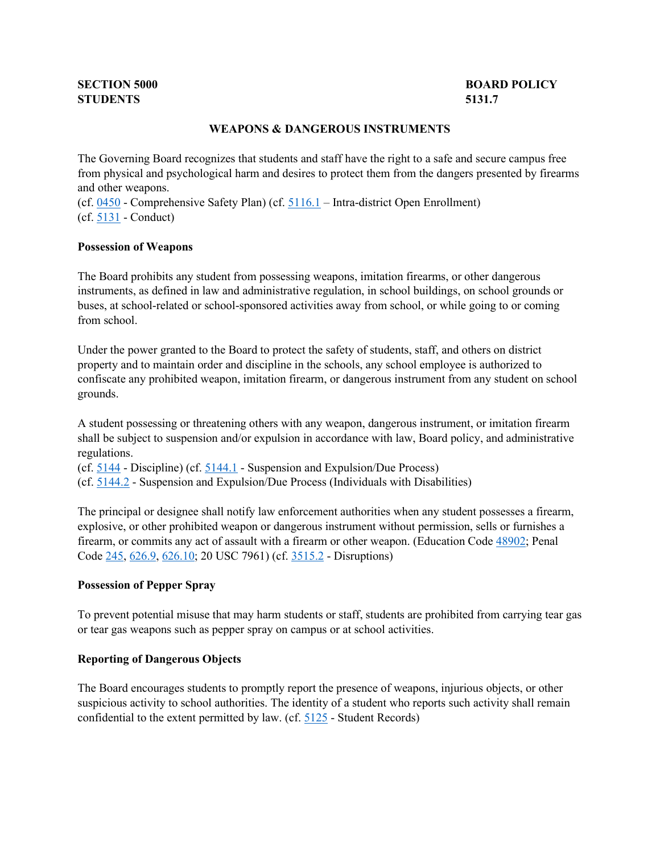# **STUDENTS 5131.7**

# **SECTION 5000** BOARD POLICY

# **WEAPONS & DANGEROUS INSTRUMENTS**

 The Governing Board recognizes that students and staff have the right to a safe and secure campus free from physical and psychological harm and desires to protect them from the dangers presented by firearms and other weapons.

 (cf[. 0450](http://gamutonline.net/displayPolicy/1053052/5) - Comprehensive Safety Plan) (cf. [5116.1](http://gamutonline.net/displayPolicy/1053070/5) – Intra-district Open Enrollment) (cf[. 5131](http://gamutonline.net/displayPolicy/931147/5) - Conduct)

#### **Possession of Weapons**

 buses, at school-related or school-sponsored activities away from school, or while going to or coming The Board prohibits any student from possessing weapons, imitation firearms, or other dangerous instruments, as defined in law and administrative regulation, in school buildings, on school grounds or from school.

 property and to maintain order and discipline in the schools, any school employee is authorized to confiscate any prohibited weapon, imitation firearm, or dangerous instrument from any student on school Under the power granted to the Board to protect the safety of students, staff, and others on district grounds.

A student possessing or threatening others with any weapon, dangerous instrument, or imitation firearm shall be subject to suspension and/or expulsion in accordance with law, Board policy, and administrative regulations.

(cf.  $\frac{5144}{ }$  - Discipline) (cf.  $\frac{5144.1}{ }$  - Suspension and Expulsion/Due Process)

(cf[. 5144.2](http://gamutonline.net/displayPolicy/288773/5) - Suspension and Expulsion/Due Process (Individuals with Disabilities)

Code [245,](http://gamutonline.net/displayPolicy/169323/5) [626.9,](http://gamutonline.net/displayPolicy/169652/5) [626.10;](http://gamutonline.net/displayPolicy/169382/5) 20 USC 7961) (cf. [3515.2](http://gamutonline.net/displayPolicy/171158/5) - Disruptions) The principal or designee shall notify law enforcement authorities when any student possesses a firearm, explosive, or other prohibited weapon or dangerous instrument without permission, sells or furnishes a firearm, or commits any act of assault with a firearm or other weapon. (Education Code [48902;](http://gamutonline.net/displayPolicy/132227/5) Penal

# **Possession of Pepper Spray**

 To prevent potential misuse that may harm students or staff, students are prohibited from carrying tear gas or tear gas weapons such as pepper spray on campus or at school activities.

## **Reporting of Dangerous Objects**

 The Board encourages students to promptly report the presence of weapons, injurious objects, or other confidential to the extent permitted by law. (cf.  $\frac{5125}{5125}$  - Student Records) suspicious activity to school authorities. The identity of a student who reports such activity shall remain